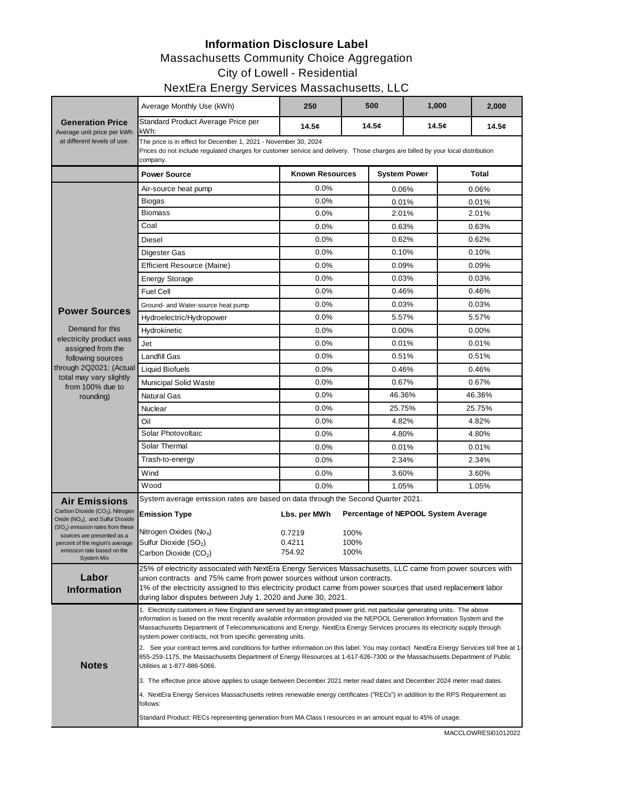#### **Information Disclosure Label** Massachusetts Community Choice Aggregation City of Lowell - Residential

## NextEra Energy Services Massachusetts, LLC

|                                                                                                                                                                                                                                                                                  | J,<br>Average Monthly Use (kWh)                                                                                                                                                                                                                                                                                                                                                                                                                                                                                                                                                                                                                                                                                                                                    | 250                                        |                      | 500                 | 1,000 |                                     | 2,000 |  |  |  |
|----------------------------------------------------------------------------------------------------------------------------------------------------------------------------------------------------------------------------------------------------------------------------------|--------------------------------------------------------------------------------------------------------------------------------------------------------------------------------------------------------------------------------------------------------------------------------------------------------------------------------------------------------------------------------------------------------------------------------------------------------------------------------------------------------------------------------------------------------------------------------------------------------------------------------------------------------------------------------------------------------------------------------------------------------------------|--------------------------------------------|----------------------|---------------------|-------|-------------------------------------|-------|--|--|--|
| <b>Generation Price</b>                                                                                                                                                                                                                                                          | Standard Product Average Price per<br>kWh:                                                                                                                                                                                                                                                                                                                                                                                                                                                                                                                                                                                                                                                                                                                         | 14.5c                                      |                      | 14.5c               | 14.5¢ |                                     | 14.5c |  |  |  |
| Average unit price per kWh<br>at different levels of use.                                                                                                                                                                                                                        | The price is in effect for December 1, 2021 - November 30, 2024<br>Prices do not include regulated charges for customer service and delivery. Those charges are billed by your local distribution<br>company.                                                                                                                                                                                                                                                                                                                                                                                                                                                                                                                                                      |                                            |                      |                     |       |                                     |       |  |  |  |
|                                                                                                                                                                                                                                                                                  | <b>Power Source</b>                                                                                                                                                                                                                                                                                                                                                                                                                                                                                                                                                                                                                                                                                                                                                | <b>Known Resources</b>                     |                      | <b>System Power</b> |       | <b>Total</b>                        |       |  |  |  |
|                                                                                                                                                                                                                                                                                  | Air-source heat pump                                                                                                                                                                                                                                                                                                                                                                                                                                                                                                                                                                                                                                                                                                                                               | 0.0%                                       |                      | 0.06%               |       | 0.06%                               |       |  |  |  |
| <b>Power Sources</b><br>Demand for this<br>electricity product was<br>assigned from the<br>following sources<br>through 2Q2021: (Actual<br>total may vary slightly<br>from 100% due to<br>rounding)                                                                              | Biogas                                                                                                                                                                                                                                                                                                                                                                                                                                                                                                                                                                                                                                                                                                                                                             | 0.0%                                       |                      | 0.01%               |       | 0.01%                               |       |  |  |  |
|                                                                                                                                                                                                                                                                                  | Biomass                                                                                                                                                                                                                                                                                                                                                                                                                                                                                                                                                                                                                                                                                                                                                            | 0.0%                                       |                      | 2.01%               |       | 2.01%                               |       |  |  |  |
|                                                                                                                                                                                                                                                                                  | Coal                                                                                                                                                                                                                                                                                                                                                                                                                                                                                                                                                                                                                                                                                                                                                               | 0.0%                                       |                      | 0.63%               |       | 0.63%                               |       |  |  |  |
|                                                                                                                                                                                                                                                                                  | Diesel                                                                                                                                                                                                                                                                                                                                                                                                                                                                                                                                                                                                                                                                                                                                                             | 0.0%                                       |                      | 0.62%               |       | 0.62%                               |       |  |  |  |
|                                                                                                                                                                                                                                                                                  | Digester Gas                                                                                                                                                                                                                                                                                                                                                                                                                                                                                                                                                                                                                                                                                                                                                       | 0.0%                                       |                      | 0.10%               |       | 0.10%                               |       |  |  |  |
|                                                                                                                                                                                                                                                                                  | <b>Efficient Resource (Maine)</b>                                                                                                                                                                                                                                                                                                                                                                                                                                                                                                                                                                                                                                                                                                                                  | 0.0%                                       |                      | 0.09%               |       | 0.09%                               |       |  |  |  |
|                                                                                                                                                                                                                                                                                  | <b>Energy Storage</b>                                                                                                                                                                                                                                                                                                                                                                                                                                                                                                                                                                                                                                                                                                                                              | 0.0%                                       |                      | 0.03%               |       | 0.03%                               |       |  |  |  |
|                                                                                                                                                                                                                                                                                  | <b>Fuel Cell</b>                                                                                                                                                                                                                                                                                                                                                                                                                                                                                                                                                                                                                                                                                                                                                   | 0.0%                                       |                      | 0.46%               |       | 0.46%                               |       |  |  |  |
|                                                                                                                                                                                                                                                                                  | Ground- and Water-source heat pump                                                                                                                                                                                                                                                                                                                                                                                                                                                                                                                                                                                                                                                                                                                                 | 0.0%                                       |                      | 0.03%               |       | 0.03%                               |       |  |  |  |
|                                                                                                                                                                                                                                                                                  | Hydroelectric/Hydropower                                                                                                                                                                                                                                                                                                                                                                                                                                                                                                                                                                                                                                                                                                                                           | 0.0%                                       |                      | 5.57%               |       | 5.57%                               |       |  |  |  |
|                                                                                                                                                                                                                                                                                  | Hydrokinetic                                                                                                                                                                                                                                                                                                                                                                                                                                                                                                                                                                                                                                                                                                                                                       | 0.0%                                       |                      | 0.00%               |       | 0.00%                               |       |  |  |  |
|                                                                                                                                                                                                                                                                                  | Jet                                                                                                                                                                                                                                                                                                                                                                                                                                                                                                                                                                                                                                                                                                                                                                | 0.0%                                       |                      | 0.01%               |       | 0.01%                               |       |  |  |  |
|                                                                                                                                                                                                                                                                                  | Landfill Gas                                                                                                                                                                                                                                                                                                                                                                                                                                                                                                                                                                                                                                                                                                                                                       | 0.0%                                       |                      | 0.51%               |       | 0.51%                               |       |  |  |  |
|                                                                                                                                                                                                                                                                                  | <b>Liquid Biofuels</b>                                                                                                                                                                                                                                                                                                                                                                                                                                                                                                                                                                                                                                                                                                                                             | 0.0%                                       |                      | 0.46%               |       | 0.46%                               |       |  |  |  |
|                                                                                                                                                                                                                                                                                  | <b>Municipal Solid Waste</b>                                                                                                                                                                                                                                                                                                                                                                                                                                                                                                                                                                                                                                                                                                                                       | 0.0%                                       |                      | 0.67%               |       | 0.67%                               |       |  |  |  |
|                                                                                                                                                                                                                                                                                  | Natural Gas                                                                                                                                                                                                                                                                                                                                                                                                                                                                                                                                                                                                                                                                                                                                                        | 0.0%                                       |                      | 46.36%              |       | 46.36%                              |       |  |  |  |
|                                                                                                                                                                                                                                                                                  | Nuclear                                                                                                                                                                                                                                                                                                                                                                                                                                                                                                                                                                                                                                                                                                                                                            | 0.0%                                       |                      | 25.75%              |       | 25.75%                              |       |  |  |  |
|                                                                                                                                                                                                                                                                                  | Oil                                                                                                                                                                                                                                                                                                                                                                                                                                                                                                                                                                                                                                                                                                                                                                | 0.0%                                       |                      | 4.82%               |       |                                     | 4.82% |  |  |  |
|                                                                                                                                                                                                                                                                                  | Solar Photovoltaic                                                                                                                                                                                                                                                                                                                                                                                                                                                                                                                                                                                                                                                                                                                                                 | 0.0%                                       |                      | 4.80%               |       | 4.80%                               |       |  |  |  |
|                                                                                                                                                                                                                                                                                  | Solar Thermal                                                                                                                                                                                                                                                                                                                                                                                                                                                                                                                                                                                                                                                                                                                                                      | 0.0%                                       |                      |                     | 0.01% |                                     | 0.01% |  |  |  |
|                                                                                                                                                                                                                                                                                  | Trash-to-energy                                                                                                                                                                                                                                                                                                                                                                                                                                                                                                                                                                                                                                                                                                                                                    | 0.0%                                       |                      | 2.34%               |       | 2.34%                               |       |  |  |  |
|                                                                                                                                                                                                                                                                                  | Wind                                                                                                                                                                                                                                                                                                                                                                                                                                                                                                                                                                                                                                                                                                                                                               | 0.0%                                       |                      | 3.60%               |       | 3.60%                               |       |  |  |  |
|                                                                                                                                                                                                                                                                                  | Wood                                                                                                                                                                                                                                                                                                                                                                                                                                                                                                                                                                                                                                                                                                                                                               | 0.0%                                       |                      | 1.05%               |       | 1.05%                               |       |  |  |  |
| <b>Air Emissions</b><br>Carbon Dioxide (CO <sub>2</sub> ), Nitrogen<br>Oxide (NO <sub>x</sub> ), and Sulfur Dioxide<br>(SO <sub>2</sub> ) emission rates from these<br>sources are presented as a<br>percent of the region's average<br>emission rate based on the<br>System Mix | System average emission rates are based on data through the Second Quarter 2021.<br><b>Emission Type</b><br>Nitrogen Oxides (Nox)<br>Sulfur Dioxide (SO <sub>2</sub> )<br>Carbon Dioxide (CO <sub>2</sub> )                                                                                                                                                                                                                                                                                                                                                                                                                                                                                                                                                        | Lbs. per MWh<br>0.7219<br>0.4211<br>754.92 | 100%<br>100%<br>100% |                     |       | Percentage of NEPOOL System Average |       |  |  |  |
| Labor<br><b>Information</b>                                                                                                                                                                                                                                                      | 25% of electricity associated with NextEra Energy Services Massachusetts, LLC came from power sources with<br>union contracts and 75% came from power sources without union contracts.<br>1% of the electricity assigned to this electricity product came from power sources that used replacement labor<br>during labor disputes between July 1, 2020 and June 30, 2021.                                                                                                                                                                                                                                                                                                                                                                                          |                                            |                      |                     |       |                                     |       |  |  |  |
| <b>Notes</b>                                                                                                                                                                                                                                                                     | 1. Electricity customers in New England are served by an integrated power grid, not particular generating units. The above<br>information is based on the most recently available information provided via the NEPOOL Generation Information System and the<br>Massachusetts Department of Telecommunications and Energy. NextEra Energy Services procures its electricity supply through<br>system power contracts, not from specific generating units.<br>2. See your contract terms and conditions for further information on this label. You may contact NextEra Energy Services toll free at 1-<br>855-259-1175, the Massachusetts Department of Energy Resources at 1-617-626-7300 or the Massachusetts Department of Public<br>Utilities at 1-877-886-5066. |                                            |                      |                     |       |                                     |       |  |  |  |
|                                                                                                                                                                                                                                                                                  | 3. The effective price above applies to usage between December 2021 meter read dates and December 2024 meter read dates.<br>4. NextEra Energy Services Massachusetts retires renewable energy certificates ("RECs") in addition to the RPS Requirement as<br>follows:                                                                                                                                                                                                                                                                                                                                                                                                                                                                                              |                                            |                      |                     |       |                                     |       |  |  |  |
|                                                                                                                                                                                                                                                                                  | Standard Product: RECs representing generation from MA Class I resources in an amount equal to 45% of usage.                                                                                                                                                                                                                                                                                                                                                                                                                                                                                                                                                                                                                                                       |                                            |                      |                     |       |                                     |       |  |  |  |

MACCLOWRESI01012022